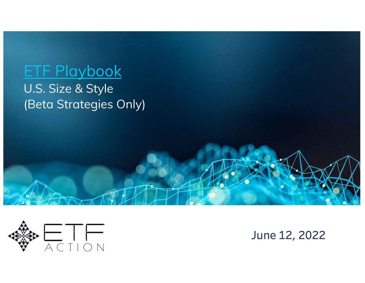# ETF Playbook

U.S. Size & Style (Beta Strategies Only)



**June 12, 2022**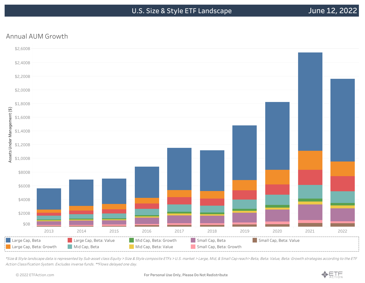#### Annual AUM Growth



\*Size & Style landscape data is represented by Sub-asset class Equity <sup>&</sup>gt; Size & Style composite ETFs <sup>&</sup>gt; U.S. market <sup>&</sup>gt; Large, Mid, & Small Cap reach> Beta, Beta: Value, Beta: Growth strategies according to the ETF Action Classification System. Excludes inverse funds. \*\*Flows delayed one day.

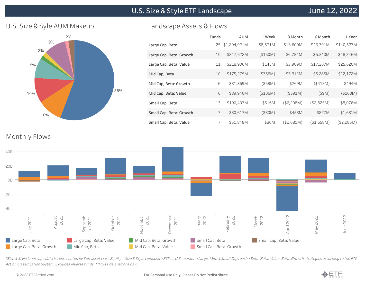**U.S. Size & Style ETF Landscape**

#### U.S. Size & Syle AUM Makeup



#### Landscape Assets & Flows

|                         | Funds | <b>AUM</b>   | 1 Week   | 3 Month    | 6 Month    | 1 Year     |
|-------------------------|-------|--------------|----------|------------|------------|------------|
| Large Cap, Beta         | 25    | \$1,204,921M | \$8,571M | \$13,600M  | \$43,791M  | \$140,523M |
| Large Cap, Beta: Growth | 10    | \$217,622M   | (\$160M) | \$6,754M   | \$6,340M   | \$18,246M  |
| Large Cap, Beta: Value  | 11    | \$218,906M   | \$145M   | \$3,969M   | \$17,207M  | \$25,620M  |
| Mid Cap, Beta           | 10    | \$175,275M   | (\$356M) | \$3,312M   | \$6,285M   | \$12,172M  |
| Mid Cap, Beta: Growth   | 6     | \$31,369M    | (\$68M)  | \$269M     | (\$412M)   | \$494M     |
| Mid Cap, Beta: Value    | 6     | \$39,946M    | (\$106M) | (\$591M)   | $($ \$9M)  | (\$168M)   |
| Small Cap, Beta         | 13    | \$190,497M   | \$516M   | (\$6,298M) | (\$2,825M) | \$8,076M   |
| Small Cap, Beta: Growth | 7     | \$30,617M    | (\$30M)  | \$458M     | \$827M     | \$1,681M   |
| Small Cap, Beta: Value  | 7     | \$51,848M    | \$30M    | (\$2,681M) | (\$1,658M) | (\$2,285M) |

#### Monthly Flows



\*Size & Style landscape data is represented by Sub-asset class Equity <sup>&</sup>gt; Size & Style composite ETFs <sup>&</sup>gt; U.S. market <sup>&</sup>gt; Large, Mid, & Small Cap reach> Beta, Beta: Value, Beta: Growth strategies according to the ETF Action Classification System. Excludes inverse funds. \*\*Flows delayed one day.

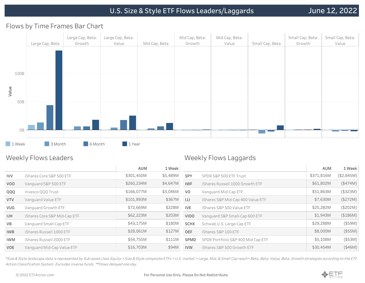#### Flows by Time Frames Bar Chart



#### Weekly Flows Leaders

#### Weekly Flows Laggards

|            |                              | <b>AUM</b> | 1 Week   |                |                                    | AUM        | 1 Week     |
|------------|------------------------------|------------|----------|----------------|------------------------------------|------------|------------|
| <b>IVV</b> | iShares Core S&P 500 ETF     | \$301,450M | \$5,489M | SPY            | SPDR S&P 500 ETF Trust             | \$371,816M | (\$2,845M) |
| VOO        | Vanguard S&P 500 ETF         | \$260,234M | \$4,647M | <b>IWF</b>     | iShares Russell 1000 Growth ETF    | \$61,802M  | (\$474M)   |
| QQQ        | Invesco QQQ Trust            | \$166,077M | \$3,046M | V <sub>O</sub> | Vanguard Mid-Cap ETF               | \$51,863M  | (\$323M)   |
| <b>VTV</b> | Vanguard Value ETF           | \$101,893M | \$367M   | IJJ            | iShares S&P Mid-Cap 400 Value ETF  | \$7,630M   | (\$272M)   |
| <b>VUG</b> | Vanguard Growth ETF          | \$72,669M  | \$228M   | <b>IVE</b>     | iShares S&P 500 Value ETF          | \$25,282M  | (\$202M)   |
| <b>IJH</b> | iShares Core S&P Mid-Cap ETF | \$62,223M  | \$203M   | VIOO           | Vanguard S&P Small-Cap 600 ETF     | \$1,943M   | (\$186M)   |
| VB         | Vanguard Small-Cap ETF       | \$43,175M  | \$180M   | <b>SCHX</b>    | Schwab U.S. Large-Cap ETF          | \$29,288M  | $($ \$59M) |
| <b>IWB</b> | iShares Russell 1000 ETF     | \$28,061M  | \$127M   | <b>OEF</b>     | iShares S&P 100 ETF                | \$8,000M   | (\$55M)    |
| <b>IWM</b> | iShares Russell 2000 ETF     | \$54,755M  | \$111M   | SPMD           | SPDR Portfolio S&P 400 Mid Cap ETF | \$5,108M   | $($ \$53M) |
| VOE        | Vanguard Mid-Cap Value ETF   | \$16,703M  | \$94M    | <b>IVW</b>     | iShares S&P 500 Growth ETF         | \$30,454M  | (\$46M)    |
|            |                              |            |          |                |                                    |            |            |

\*Size & Style landscape data is represented by Sub-asset class Equity <sup>&</sup>gt; Size & Style composite ETFs <sup>&</sup>gt; U.S. market <sup>&</sup>gt; Large, Mid, & Small Cap reach> Beta, Beta: Value, Beta: Growth strategies according to the ETF Action Classification System. Excludes inverse funds. \*\*Flows delayed one day.

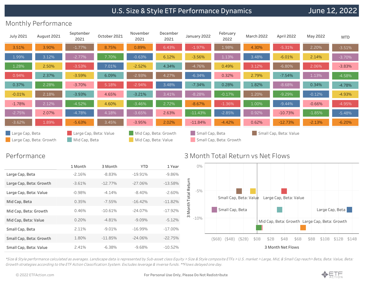# **U.S. Size & Style ETF Performance Dynamics**

# **June 12, 2022**

## Monthly Performance

| <b>July 2021</b>                           | August 2021 | September<br>2021                       | October 2021 | November<br>2021     | December<br>2021      | January 2022    | February<br>2022        | <b>March 2022</b> | April 2022             | May 2022 | <b>MTD</b> |
|--------------------------------------------|-------------|-----------------------------------------|--------------|----------------------|-----------------------|-----------------|-------------------------|-------------------|------------------------|----------|------------|
| 3.51%                                      | 3.90%       | $-1.77%$                                | 8.75%        | 0.89%                | 6.43%                 | $-1.97%$        | 1.98%                   | 4.30%             | $-5.31%$               | 2.20%    | $-3.51%$   |
| 1.99%                                      | 3.12%       | $-2.77%$                                | 7.70%        | $-0.63%$             | 6.12%                 | $-3.56%$        | 1.13%                   | 3.48%             | $-6.01%$               | 2.14%    | $-3.70%$   |
| 1.28%                                      | 2.50%       | $-3.53%$                                | 7.01%        | $-2.52%$             | 4.34%                 | $-4.76%$        | 0.49%                   | 3.12%             | $-6.80%$               | 2.06%    | $-3.83%$   |
| 0.94%                                      | 2.37%       | $-3.59%$                                | 6.09%        | $-2.93%$             | 4.27%                 | $-6.34%$        | 0.32%                   | 2.79%             | $-7.54%$               | 1.13%    | $-4.58%$   |
| 0.37%                                      | 2.28%       | $-3.70%$                                | 5.18%        | $-2.94%$             | 3.48%                 | $-7.34%$        | 0.28%                   | 1.82%             | $-8.68%$               | 0.34%    | $-4.78%$   |
| $-0.01%$                                   | 2.18%       | $-3.93%$                                | 4.65%        | $-3.21%$             | 3.41%                 | $-8.28%$        | $-0.17%$                | 1.20%             | $-9.29%$               | $-0.12%$ | $-4.93%$   |
| $-1.78%$                                   | 2.12%       | $-4.52%$                                | 4.60%        | $-3.46%$             | 2.72%                 | $-8.67%$        | $-1.36%$                | 1.00%             | $-9.44%$               | $-0.66%$ | $-4.95%$   |
| $-2.75%$                                   | 2.07%       | $-4.78%$                                | 4.18%        | $-3.65%$             | 2.63%                 | $-11.43%$       | $-2.85%$                | 0.92%             | $-10.73%$              | $-1.85%$ | $-5.48%$   |
| $-3.62%$                                   | 1.89%       | $-5.63%$                                | 3.45%        | $-3.95%$             | 2.02%                 | $-11.84%$       | $-4.42%$                | 0.62%             | $-12.73%$              | $-2.13%$ | $-6.20%$   |
| Large Cap, Beta<br>Large Cap, Beta: Growth |             | Large Cap, Beta: Value<br>Mid Cap, Beta |              | Mid Cap, Beta: Value | Mid Cap, Beta: Growth | Small Cap, Beta | Small Cap, Beta: Growth |                   | Small Cap, Beta: Value |          |            |

#### Performance

|                         | 1 Month  | 3 Month    | <b>YTD</b> | 1 Year     |
|-------------------------|----------|------------|------------|------------|
| Large Cap, Beta         | $-2.16%$ | $-8.83\%$  | $-19.91\%$ | $-9.86%$   |
| Large Cap, Beta: Growth | $-3.61%$ | $-12.77\%$ | $-27.06\%$ | $-13.58%$  |
| Large Cap, Beta: Value  | $-0.98%$ | $-4.14%$   | $-8.40%$   | $-2.60%$   |
| Mid Cap, Beta           | 0.35%    | $-7.55\%$  | $-16.42%$  | $-11.82%$  |
| Mid Cap, Beta: Growth   | 0.46%    | $-10.61%$  | $-24.07\%$ | $-17.92%$  |
| Mid Cap, Beta: Value    | 0.20%    | $-4.81%$   | $-9.09%$   | $-5.12%$   |
| Small Cap, Beta         | 2.11%    | $-9.01\%$  | $-16.99\%$ | $-17.00\%$ |
| Small Cap, Beta: Growth | 1.80%    | $-11.85%$  | $-24.06\%$ | $-22.75%$  |
| Small Cap, Beta: Value  | 2.41%    | $-6.38\%$  | $-9.68\%$  | $-10.52\%$ |

#### 3 Month Total Return vs Net Flows



\*Size & Style performance calculated as averages. Landscape data is represented by Sub-asset class Equity <sup>&</sup>gt; Size & Style composite ETFs <sup>&</sup>gt; U.S. market <sup>&</sup>gt; Large, Mid, & Small Cap reach> Beta, Beta: Value, Beta: Growth strategies according to the ETF Action Classification System. Excludes leverage & inverse funds. \*\*Flows delayed one day.

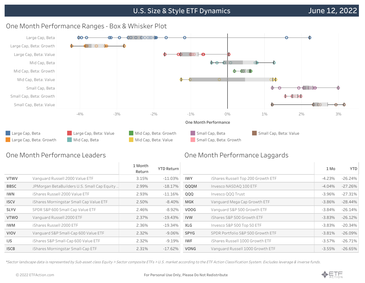# **U.S. Size & Style ETF Dynamics**



## One Month Performance Ranges - Box & Whisker Plot

## One Month Performance Leaders

#### One Month Performance Laggards

|             |                                             | 1 Month<br>Return | <b>YTD Return</b> |             |                                    |           | 1 Mo | <b>YTD</b> |
|-------------|---------------------------------------------|-------------------|-------------------|-------------|------------------------------------|-----------|------|------------|
| <b>VTWV</b> | Vanguard Russell 2000 Value ETF             | 3.15%             | $-11.03%$         | <b>IWY</b>  | iShares Russell Top 200 Growth ETF | $-4.23%$  |      | $-26.24%$  |
| <b>BBSC</b> | JPMorgan BetaBuilders U.S. Small Cap Equity | 2.99%             | $-18.17%$         | QQQM        | Invesco NASDAQ 100 ETF             | $-4.04%$  |      | $-27.26%$  |
| <b>IWN</b>  | iShares Russell 2000 Value ETF              | 2.93%             | $-11.16%$         | QQQ         | Invesco QQQ Trust                  | $-3.96%$  |      | $-27.31%$  |
| <b>ISCV</b> | iShares Morningstar Small Cap Value ETF     | 2.50%             | $-8.40\%$         | MGK         | Vanguard Mega Cap Growth ETF       | $-3.86\%$ |      | $-28.44\%$ |
| <b>SLYV</b> | SPDR S&P 600 Small Cap Value ETF            | 2.46%             | -8.92%            | <b>VOOG</b> | Vanguard S&P 500 Growth ETF        | $-3.84%$  |      | $-26.14%$  |
| <b>VTWO</b> | Vanguard Russell 2000 ETF                   | 2.37%             | $-19.43%$         | <b>IVW</b>  | iShares S&P 500 Growth ETF         | $-3.83%$  |      | $-26.12\%$ |
| <b>IWM</b>  | iShares Russell 2000 ETF                    | 2.36%             | -19.34%           | <b>XLG</b>  | Invesco S&P 500 Top 50 ETF         | $-3.83\%$ |      | $-20.34\%$ |
| VIOV        | Vanquard S&P Small-Cap 600 Value ETF        | 2.32%             | $-9.06\%$         | SPYG        | SPDR Portfolio S&P 500 Growth ETF  | $-3.81%$  |      | $-26.09%$  |
| IJS.        | iShares S&P Small-Cap 600 Value ETF         | 2.32%             | $-9.19\%$         | <b>IWF</b>  | iShares Russell 1000 Growth ETF    | $-3.57\%$ |      | $-26.71%$  |
| <b>ISCB</b> | iShares Morningstar Small-Cap ETF           | 2.31%             | $-17.62%$         | VONG        | Vanguard Russell 1000 Growth ETF   | $-3.55\%$ |      | $-26.65%$  |
|             |                                             |                   |                   |             |                                    |           |      |            |

\*Sector landscape data is represented by Sub-asset class Equity <sup>&</sup>gt; Sector composite ETFs <sup>&</sup>gt; U.S. market according to the ETF Action Classification System. Excludes leverage & inverse funds.

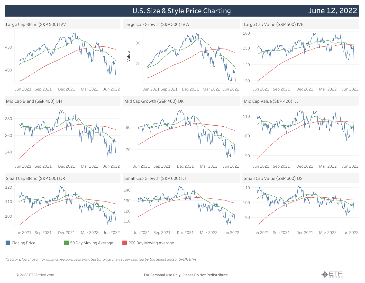# **U.S. Size & Style Price Charting**

# **June 12, 2022**



\*Sector ETFs chosen for illustrative purposes only. Sector price charts represented by the Select Sector SPDR ETFs.